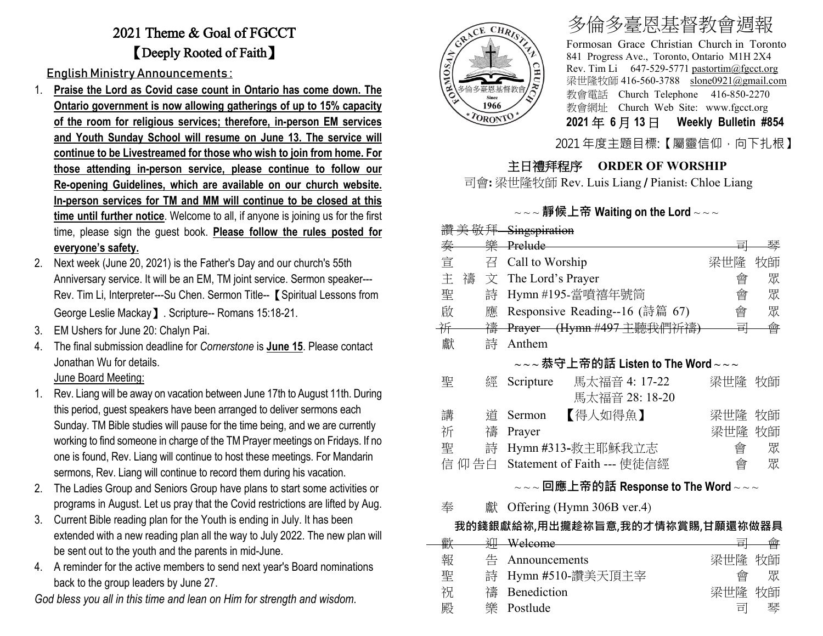## 2021 Theme & Goal of FGCCT 【Deeply Rooted of Faith】

English Ministry Announcements :

- 1. **Praise the Lord as Covid case count in Ontario has come down. The Ontario government is now allowing gatherings of up to 15% capacity of the room for religious services; therefore, in-person EM services and Youth Sunday School will resume on June 13. The service will continue to be Livestreamed for those who wish to join from home. For those attending in-person service, please continue to follow our Re-opening Guidelines, which are available on our church website. In-person services for TM and MM will continue to be closed at this time until further notice**. Welcome to all, if anyone is joining us for the first time, please sign the guest book. **Please follow the rules posted for everyone's safety.**
- 2. Next week (June 20, 2021) is the Father's Day and our church's 55th Anniversary service. It will be an EM, TM joint service. Sermon speaker--- Rev. Tim Li, Interpreter---Su Chen. Sermon Title-- **[**Spiritual Lessons from George Leslie Mackay】. Scripture-- Romans 15:18-21.
- 3. EM Ushers for June 20: Chalyn Pai.
- 4. The final submission deadline for *Cornerstone* is **June 15**. Please contact Jonathan Wu for details.

#### June Board Meeting:

- 1. Rev. Liang will be away on vacation between June 17th to August 11th. During this period, guest speakers have been arranged to deliver sermons each Sunday. TM Bible studies will pause for the time being, and we are currently working to find someone in charge of the TM Prayer meetings on Fridays. If no one is found, Rev. Liang will continue to host these meetings. For Mandarin sermons, Rev. Liang will continue to record them during his vacation.
- 2. The Ladies Group and Seniors Group have plans to start some activities or programs in August. Let us pray that the Covid restrictions are lifted by Aug.
- 3. Current Bible reading plan for the Youth is ending in July. It has been extended with a new reading plan all the way to July 2022. The new plan will be sent out to the youth and the parents in mid-June.
- 4. A reminder for the active members to send next year's Board nominations back to the group leaders by June 27.

*God bless you all in this time and lean on Him for strength and wisdom.*



# 多倫多臺恩基督教會週報

Formosan Grace Christian Church in Toronto 841 Progress Ave., Toronto, Ontario M1H 2X4 Rev. Tim Li 647-529-5771 [pastortim@fgcct.org](mailto:pastortim@fgcct.org) 梁世隆牧師 416-560-3788 slone0921@gmail.com 教會電話 Church Telephone 416-850-2270 教會網址 Church Web Site: www.fgcct.org **2021** 年 **6** 月 **13** 日 **Weekly Bulletin #854** 

2021 年度主題目標:【屬靈信仰,向下扎根】

### 主日禮拜程序 **ORDER OF WORSHIP**

司會**:** 梁世隆牧師 Rev. Luis Liang / Pianist: Chloe Liang

### ~ ~ ~ **靜候上帝 Waiting on the Lord** ~ ~ ~

| 讚美敬拜 Singspiration                                           |        |   |                                |                |        |    |
|--------------------------------------------------------------|--------|---|--------------------------------|----------------|--------|----|
|                                                              | 秦      |   | 樂 Prelude                      |                | 희      | 琴  |
|                                                              | 宣      | 召 | Call to Worship                |                | 梁世隆    | 牧師 |
|                                                              | 主<br>禱 | 文 | The Lord's Prayer              | 會              | 眾      |    |
|                                                              | 聖      | 詩 | Hymn #195-當噴禧年號筒               | 會              | 眾      |    |
|                                                              | 啟      | 應 | Responsive Reading--16 (詩篇 67) | 會              | 眾      |    |
|                                                              | 并      | 禱 | Prayer (Hymn #497 主聽我們祈禱)      |                | 쿜      | 會  |
|                                                              | 獻      | 詩 | Anthem                         |                |        |    |
| $\sim$ $\sim$ 恭守上帝的話 Listen to The Word $\sim$ $\sim$ $\sim$ |        |   |                                |                |        |    |
|                                                              | 聖      | 經 | 馬太福音 4: 17-22<br>Scripture     |                | 梁世隆 牧師 |    |
|                                                              |        |   |                                | 馬太福音 28: 18-20 |        |    |
|                                                              | 講      | 道 | 【得人如得魚】<br>Sermon              |                | 梁世隆    | 牧師 |
|                                                              | 祈      | 禱 | Prayer                         |                | 梁世隆    | 牧師 |
|                                                              | 聖      | 詩 | Hymn #313-救主耶穌我立志              |                | 會      | 眾  |
| 信 仰 告白                                                       |        |   | Statement of Faith --- 使徒信經    |                | 會      | 眾  |
|                                                              |        |   |                                |                |        |    |

### ~ ~ ~ **回應上帝的話 Response to The Word** ~ ~ ~

奉 獻 Offering (Hymn 306B ver.4)

### **我的錢銀獻給祢,用出攏趁祢旨意,我的才情祢賞賜,甘願還祢做器具**

|   |               | $\rightleftharpoons$                                     |    |
|---|---------------|----------------------------------------------------------|----|
|   |               |                                                          |    |
| 苧 | Announcements | 梁世隆                                                      | 牧師 |
|   |               | 酋                                                        | 眾  |
| 禱 |               | 梁世隆                                                      | 牧師 |
| 卛 |               | 宣                                                        | 琴  |
|   | واما          | Welcome<br>詩 Hymn #510-讚美天頂主宰<br>Benediction<br>Postlude | −  |